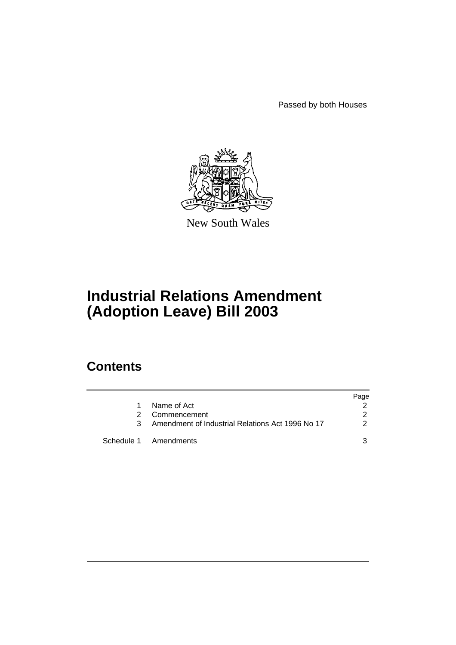Passed by both Houses



New South Wales

# **Industrial Relations Amendment (Adoption Leave) Bill 2003**

### **Contents**

|    |                                                    | Page          |
|----|----------------------------------------------------|---------------|
| 1. | Name of Act                                        |               |
| 2  | Commencement                                       | $\mathcal{P}$ |
|    | 3 Amendment of Industrial Relations Act 1996 No 17 | $\mathcal{P}$ |
|    | Schedule 1 Amendments                              |               |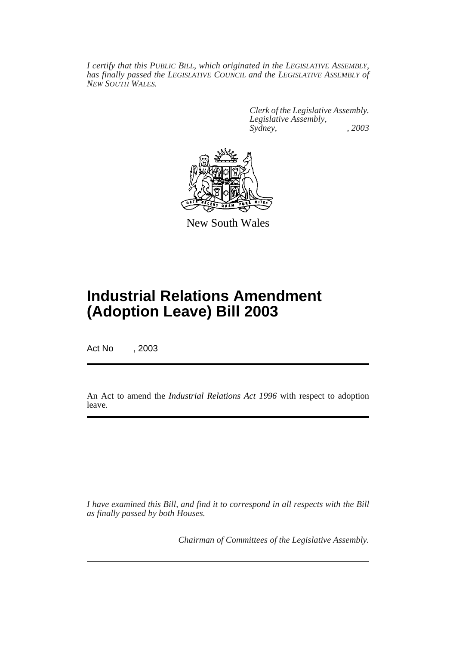*I certify that this PUBLIC BILL, which originated in the LEGISLATIVE ASSEMBLY, has finally passed the LEGISLATIVE COUNCIL and the LEGISLATIVE ASSEMBLY of NEW SOUTH WALES.*

> *Clerk of the Legislative Assembly. Legislative Assembly, Sydney, , 2003*



New South Wales

## **Industrial Relations Amendment (Adoption Leave) Bill 2003**

Act No , 2003

An Act to amend the *Industrial Relations Act 1996* with respect to adoption leave.

*I have examined this Bill, and find it to correspond in all respects with the Bill as finally passed by both Houses.*

*Chairman of Committees of the Legislative Assembly.*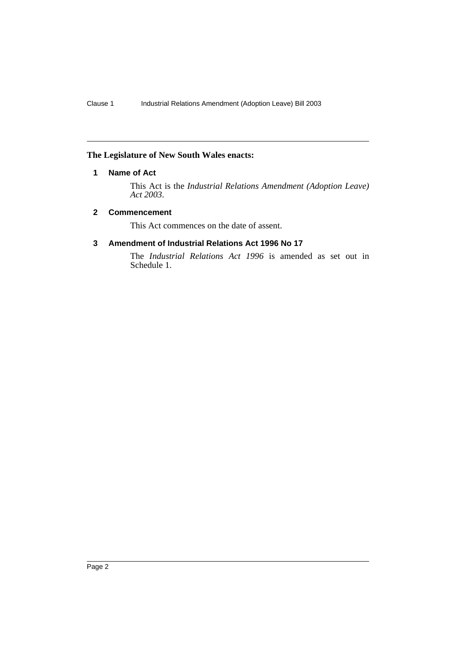#### **The Legislature of New South Wales enacts:**

#### **1 Name of Act**

This Act is the *Industrial Relations Amendment (Adoption Leave) Act 2003*.

#### **2 Commencement**

This Act commences on the date of assent.

#### **3 Amendment of Industrial Relations Act 1996 No 17**

The *Industrial Relations Act 1996* is amended as set out in Schedule 1.